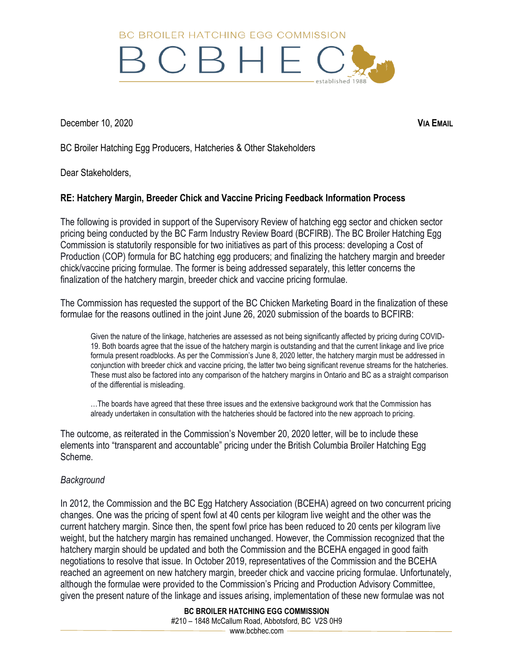BC BROILER HATCHING FGG COMMISSION



December 10, 2020 **VIA EMAIL**

BC Broiler Hatching Egg Producers, Hatcheries & Other Stakeholders

Dear Stakeholders,

## **RE: Hatchery Margin, Breeder Chick and Vaccine Pricing Feedback Information Process**

The following is provided in support of the Supervisory Review of hatching egg sector and chicken sector pricing being conducted by the BC Farm Industry Review Board (BCFIRB). The BC Broiler Hatching Egg Commission is statutorily responsible for two initiatives as part of this process: developing a Cost of Production (COP) formula for BC hatching egg producers; and finalizing the hatchery margin and breeder chick/vaccine pricing formulae. The former is being addressed separately, this letter concerns the finalization of the hatchery margin, breeder chick and vaccine pricing formulae.

The Commission has requested the support of the BC Chicken Marketing Board in the finalization of these formulae for the reasons outlined in the joint June 26, 2020 submission of the boards to BCFIRB:

Given the nature of the linkage, hatcheries are assessed as not being significantly affected by pricing during COVID-19. Both boards agree that the issue of the hatchery margin is outstanding and that the current linkage and live price formula present roadblocks. As per the Commission's June 8, 2020 letter, the hatchery margin must be addressed in conjunction with breeder chick and vaccine pricing, the latter two being significant revenue streams for the hatcheries. These must also be factored into any comparison of the hatchery margins in Ontario and BC as a straight comparison of the differential is misleading.

…The boards have agreed that these three issues and the extensive background work that the Commission has already undertaken in consultation with the hatcheries should be factored into the new approach to pricing.

The outcome, as reiterated in the Commission's November 20, 2020 letter, will be to include these elements into "transparent and accountable" pricing under the British Columbia Broiler Hatching Egg Scheme.

## *Background*

In 2012, the Commission and the BC Egg Hatchery Association (BCEHA) agreed on two concurrent pricing changes. One was the pricing of spent fowl at 40 cents per kilogram live weight and the other was the current hatchery margin. Since then, the spent fowl price has been reduced to 20 cents per kilogram live weight, but the hatchery margin has remained unchanged. However, the Commission recognized that the hatchery margin should be updated and both the Commission and the BCEHA engaged in good faith negotiations to resolve that issue. In October 2019, representatives of the Commission and the BCEHA reached an agreement on new hatchery margin, breeder chick and vaccine pricing formulae. Unfortunately, although the formulae were provided to the Commission's Pricing and Production Advisory Committee, given the present nature of the linkage and issues arising, implementation of these new formulae was not

> **BC BROILER HATCHING EGG COMMISSION** #210 – 1848 McCallum Road, Abbotsford, BC V2S 0H9 - www.bcbhec.com -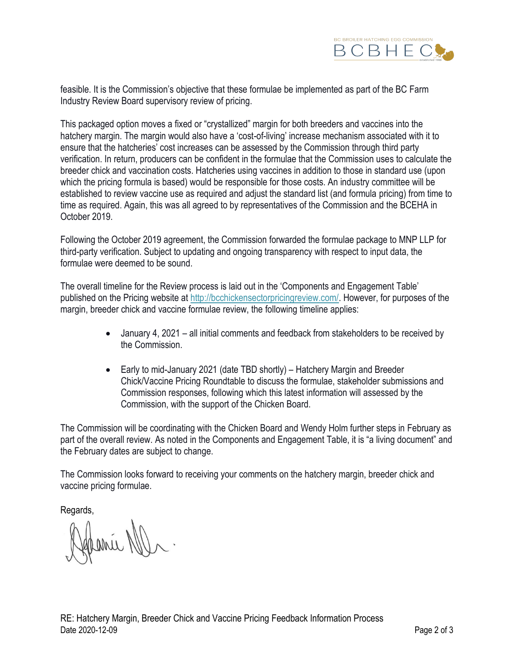

feasible. It is the Commission's objective that these formulae be implemented as part of the BC Farm Industry Review Board supervisory review of pricing.

This packaged option moves a fixed or "crystallized" margin for both breeders and vaccines into the hatchery margin. The margin would also have a 'cost-of-living' increase mechanism associated with it to ensure that the hatcheries' cost increases can be assessed by the Commission through third party verification. In return, producers can be confident in the formulae that the Commission uses to calculate the breeder chick and vaccination costs. Hatcheries using vaccines in addition to those in standard use (upon which the pricing formula is based) would be responsible for those costs. An industry committee will be established to review vaccine use as required and adjust the standard list (and formula pricing) from time to time as required. Again, this was all agreed to by representatives of the Commission and the BCEHA in October 2019.

Following the October 2019 agreement, the Commission forwarded the formulae package to MNP LLP for third-party verification. Subject to updating and ongoing transparency with respect to input data, the formulae were deemed to be sound.

The overall timeline for the Review process is laid out in the 'Components and Engagement Table' published on the Pricing website at [http://bcchickensectorpricingreview.com/.](http://bcchickensectorpricingreview.com/) However, for purposes of the margin, breeder chick and vaccine formulae review, the following timeline applies:

- January 4, 2021 all initial comments and feedback from stakeholders to be received by the Commission.
- Early to mid-January 2021 (date TBD shortly) Hatchery Margin and Breeder Chick/Vaccine Pricing Roundtable to discuss the formulae, stakeholder submissions and Commission responses, following which this latest information will assessed by the Commission, with the support of the Chicken Board.

The Commission will be coordinating with the Chicken Board and Wendy Holm further steps in February as part of the overall review. As noted in the Components and Engagement Table, it is "a living document" and the February dates are subject to change.

The Commission looks forward to receiving your comments on the hatchery margin, breeder chick and vaccine pricing formulae.

Regards,

france N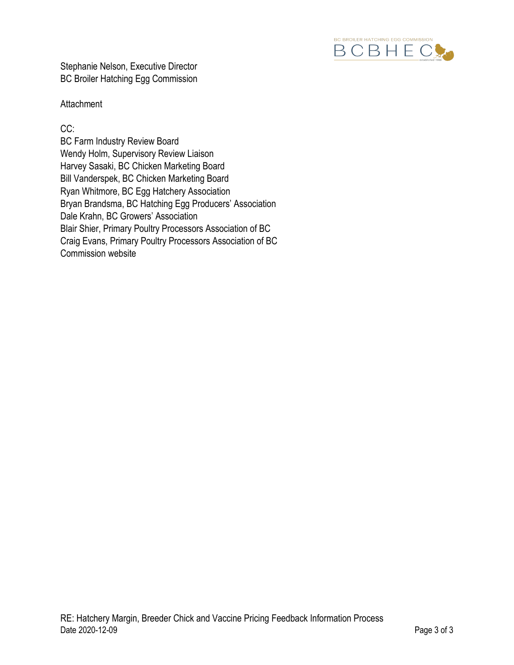

Stephanie Nelson, Executive Director BC Broiler Hatching Egg Commission

### **Attachment**

CC:

BC Farm Industry Review Board Wendy Holm, Supervisory Review Liaison Harvey Sasaki, BC Chicken Marketing Board Bill Vanderspek, BC Chicken Marketing Board Ryan Whitmore, BC Egg Hatchery Association Bryan Brandsma, BC Hatching Egg Producers' Association Dale Krahn, BC Growers' Association Blair Shier, Primary Poultry Processors Association of BC Craig Evans, Primary Poultry Processors Association of BC Commission website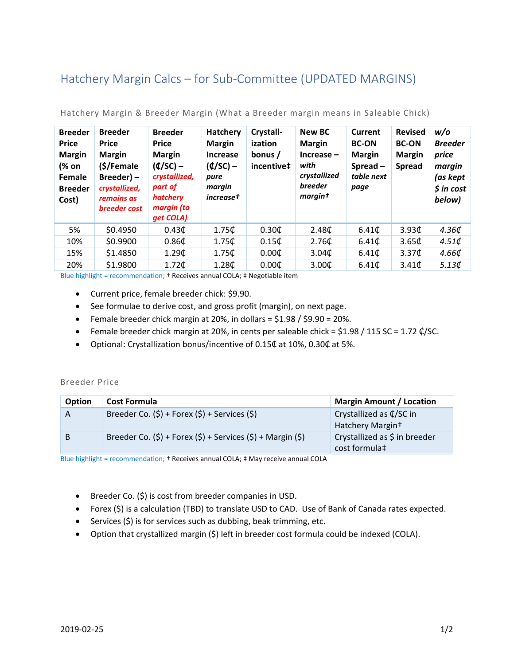# Hatchery Margin Calcs – for Sub‐Committee (UPDATED MARGINS)

| <b>Breeder</b><br><b>Price</b><br><b>Margin</b><br>(% on<br>Female<br><b>Breeder</b><br>Cost) | <b>Breeder</b><br><b>Price</b><br><b>Margin</b><br>(\$/Female<br>Breeder) -<br>crystallized,<br>remains as<br><b>breeder</b> cost | <b>Breeder</b><br><b>Price</b><br><b>Margin</b><br>$(4/SC)$ –<br>crystallized,<br>part of<br>hatchery<br>margin (to<br>get COLA) | <b>Hatchery</b><br><b>Margin</b><br>Increase<br>$(4/SC)$ –<br>pure<br>margin<br><i>increase</i> † | Crystall-<br>ization<br>bonus /<br>incentive‡ | <b>New BC</b><br><b>Margin</b><br>$Increase -$<br>with<br>crystallized<br><b>breeder</b><br>margint | Current<br><b>BC-ON</b><br><b>Margin</b><br>$S$ pread $-$<br>table next<br>page | <b>Revised</b><br><b>BC-ON</b><br><b>Margin</b><br><b>Spread</b> | w/o<br><b>Breeder</b><br>price<br>margin<br>(as kept<br>$$$ in cost<br>below) |
|-----------------------------------------------------------------------------------------------|-----------------------------------------------------------------------------------------------------------------------------------|----------------------------------------------------------------------------------------------------------------------------------|---------------------------------------------------------------------------------------------------|-----------------------------------------------|-----------------------------------------------------------------------------------------------------|---------------------------------------------------------------------------------|------------------------------------------------------------------|-------------------------------------------------------------------------------|
| 5%                                                                                            | \$0.4950                                                                                                                          | 0.43 <sub>0</sub>                                                                                                                | 1.75C                                                                                             | 0.30C                                         | 2.48 <sup>†</sup>                                                                                   | 6.41 <sup>t</sup>                                                               | 3.93 <sub>0</sub>                                                | 4.36¢                                                                         |
| 10%                                                                                           | \$0.9900                                                                                                                          | 0.86 <sub>C</sub>                                                                                                                | 1.75C                                                                                             | 0.15 <sub>C</sub>                             | 2.76 <sup>th</sup>                                                                                  | 6.41C                                                                           | 3.65C                                                            | 4.51 <sup>t</sup>                                                             |
| 15%                                                                                           | \$1.4850                                                                                                                          | 1.29C                                                                                                                            | 1.75C                                                                                             | 0.00C                                         | 3.04 <sub>0</sub>                                                                                   | 6.41C                                                                           | 3.37 <sup>th</sup>                                               | $4.66\ell$                                                                    |
| 20%                                                                                           | \$1.9800                                                                                                                          | $1.72$ ¢                                                                                                                         | 1.28C                                                                                             | 0.00C                                         | 3.00C                                                                                               | 6.41C                                                                           | 3.41 <sub>0</sub>                                                | 5.13 $\mathcal{L}$                                                            |

Hatchery Margin & Breeder Margin (What a Breeder margin means in Saleable Chick)

Blue highlight = recommendation; † Receives annual COLA; ‡ Negotiable item

- Current price, female breeder chick: \$9.90.
- See formulae to derive cost, and gross profit (margin), on next page.
- **•** Female breeder chick margin at 20%, in dollars =  $$1.98 / $9.90 = 20$ %.
- Female breeder chick margin at 20%, in cents per saleable chick =  $$1.98 / 115$  SC = 1.72  $\ell$ /SC.
- Optional: Crystallization bonus/incentive of 0.15₵ at 10%, 0.30₵ at 5%.

### Breeder Price

| <b>Option</b> | <b>Cost Formula</b>                                                     | <b>Margin Amount / Location</b>                                |
|---------------|-------------------------------------------------------------------------|----------------------------------------------------------------|
| A             | Breeder Co. $(5)$ + Forex $(5)$ + Services $(5)$                        | Crystallized as $\oint$ /SC in<br>Hatchery Margin <sup>+</sup> |
|               | Breeder Co. $(\xi)$ + Forex $(\xi)$ + Services $(\xi)$ + Margin $(\xi)$ | Crystallized as \$ in breeder<br>cost formula <sup>†</sup>     |

Blue highlight = recommendation; † Receives annual COLA; ‡ May receive annual COLA

- **•** Breeder Co. (\$) is cost from breeder companies in USD.
- Forex (\$) is a calculation (TBD) to translate USD to CAD. Use of Bank of Canada rates expected.
- Services (\$) is for services such as dubbing, beak trimming, etc.
- Option that crystallized margin (\$) left in breeder cost formula could be indexed (COLA).